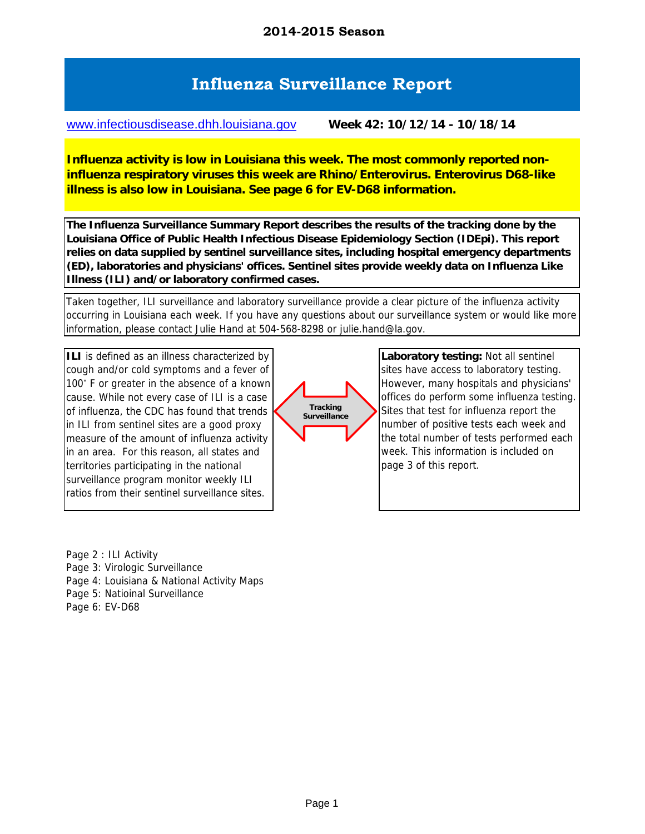## **Influenza Surveillance Report**

www.infectiousdisease.dhh.louisiana.gov **Week 42: 10/12/14 - 10/18/14**

**Influenza activity is low in Louisiana this week. The most commonly reported noninfluenza respiratory viruses this week are Rhino/Enterovirus. Enterovirus D68-like illness is also low in Louisiana. See page 6 for EV-D68 information.**

**The Influenza Surveillance Summary Report describes the results of the tracking done by the Louisiana Office of Public Health Infectious Disease Epidemiology Section (IDEpi). This report relies on data supplied by sentinel surveillance sites, including hospital emergency departments (ED), laboratories and physicians' offices. Sentinel sites provide weekly data on Influenza Like Illness (ILI) and/or laboratory confirmed cases.**

Taken together, ILI surveillance and laboratory surveillance provide a clear picture of the influenza activity occurring in Louisiana each week. If you have any questions about our surveillance system or would like more information, please contact Julie Hand at 504-568-8298 or julie.hand@la.gov.

**ILI** is defined as an illness characterized by cough and/or cold symptoms and a fever of 100˚ F or greater in the absence of a known cause. While not every case of ILI is a case of influenza, the CDC has found that trends in ILI from sentinel sites are a good proxy measure of the amount of influenza activity in an area. For this reason, all states and territories participating in the national surveillance program monitor weekly ILI ratios from their sentinel surveillance sites.



**Laboratory testing:** Not all sentinel sites have access to laboratory testing. However, many hospitals and physicians' offices do perform some influenza testing. Sites that test for influenza report the number of positive tests each week and the total number of tests performed each week. This information is included on page 3 of this report.

Page 2 : ILI Activity

Page 3: Virologic Surveillance

Page 4: Louisiana & National Activity Maps

Page 5: Natioinal Surveillance

Page 6: EV-D68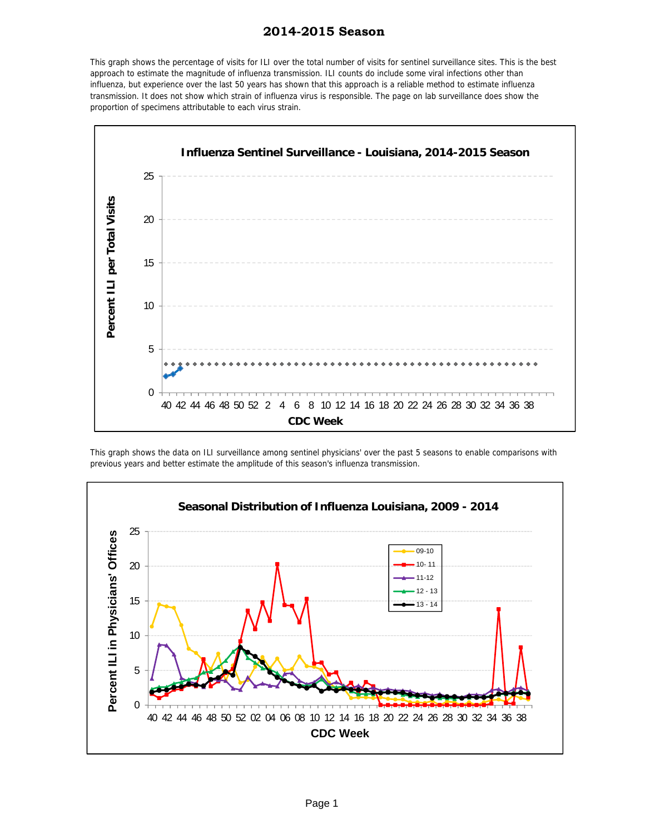#### **2014-2015 Season**

This graph shows the percentage of visits for ILI over the total number of visits for sentinel surveillance sites. This is the best approach to estimate the magnitude of influenza transmission. ILI counts do include some viral infections other than influenza, but experience over the last 50 years has shown that this approach is a reliable method to estimate influenza transmission. It does not show which strain of influenza virus is responsible. The page on lab surveillance does show the proportion of specimens attributable to each virus strain.



This graph shows the data on ILI surveillance among sentinel physicians' over the past 5 seasons to enable comparisons with previous years and better estimate the amplitude of this season's influenza transmission.

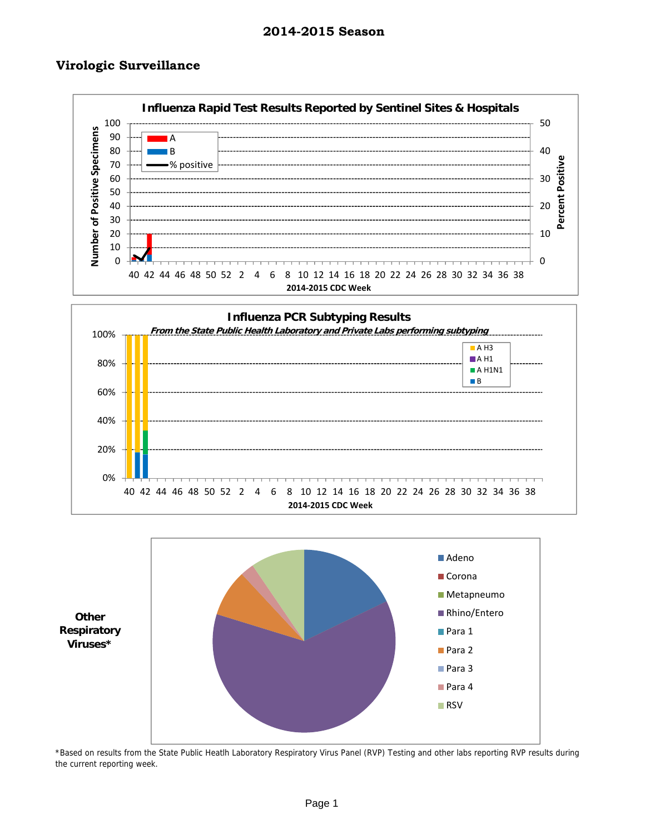#### **Virologic Surveillance**







\*Based on results from the State Public Heatlh Laboratory Respiratory Virus Panel (RVP) Testing and other labs reporting RVP results during the current reporting week.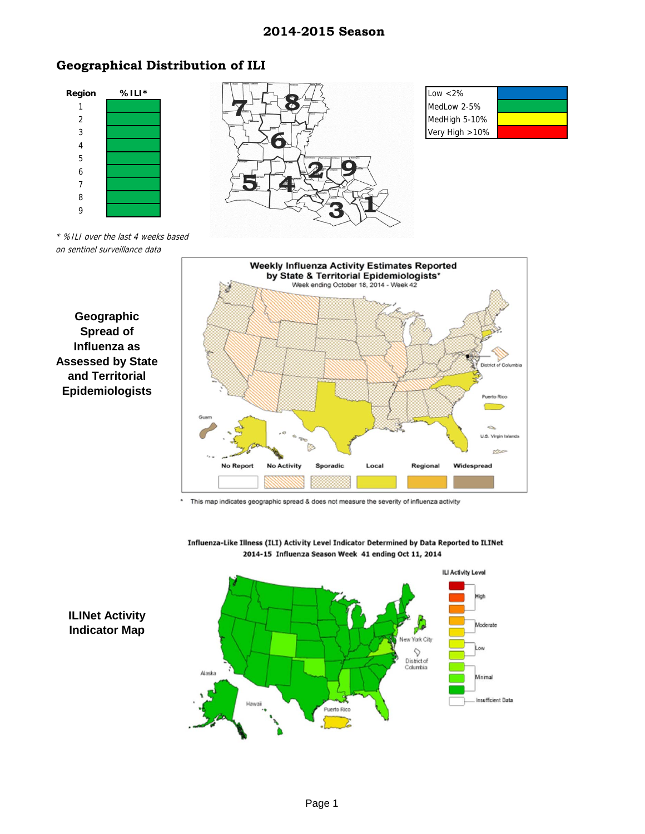#### **2014-2015 Season**

## **Geographical Distribution of ILI**



on sentinel surveillance data

**Geographic Spread of Influenza as** 

**and Territorial Epidemiologists**



**Weekly Influenza Activity Estimates Reported** 

This map indicates geographic spread & does not measure the severity of influenza activity



Influenza-Like Illness (ILI) Activity Level Indicator Determined by Data Reported to ILINet 2014-15 Influenza Season Week 41 ending Oct 11, 2014

## **ILINet Activity Indicator Map**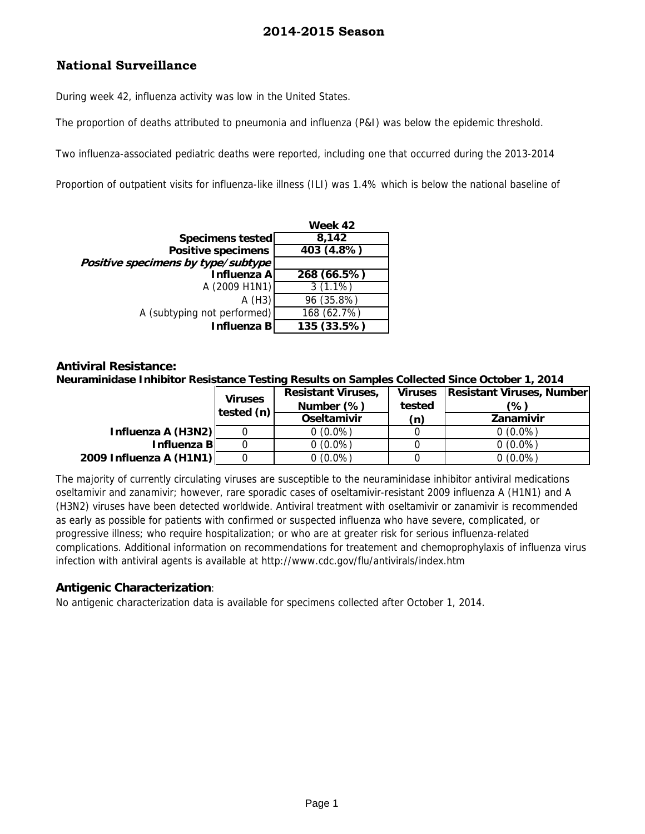## **National Surveillance**

During week 42, influenza activity was low in the United States.

The proportion of deaths attributed to pneumonia and influenza (P&I) was below the epidemic threshold.

Two influenza-associated pediatric deaths were reported, including one that occurred during the 2013-2014

Proportion of outpatient visits for influenza-like illness (ILI) was 1.4% which is below the national baseline of

|                                    | Week 42     |  |  |
|------------------------------------|-------------|--|--|
| Specimens tested                   | 8,142       |  |  |
| <b>Positive specimens</b>          | 403 (4.8%)  |  |  |
| Positive specimens by type/subtype |             |  |  |
| Influenza A                        | 268 (66.5%) |  |  |
| A (2009 H1N1)                      | $3(1.1\%)$  |  |  |
| A(H3)                              | 96 (35.8%)  |  |  |
| A (subtyping not performed)        | 168 (62.7%) |  |  |
| Influenza B                        | 135 (33.5%) |  |  |

#### **Antiviral Resistance: Neuraminidase Inhibitor Resistance Testing Results on Samples Collected Since October 1, 2014**

|                         | <b>Viruses</b><br>tested (n) | <b>Resistant Viruses,</b><br>Number (%) | Viruses<br>tested | <b>Resistant Viruses, Number</b><br>(%) |
|-------------------------|------------------------------|-----------------------------------------|-------------------|-----------------------------------------|
|                         |                              | Oseltamivir                             | (n)               | Zanamivir                               |
| Influenza A (H3N2)      |                              | $0(0.0\%)$                              |                   | $0(0.0\%)$                              |
| Influenza Bl            |                              | $0(0.0\%)$                              |                   | $0(0.0\%)$                              |
| 2009 Influenza A (H1N1) |                              | $0(0.0\%)$                              |                   | $0(0.0\%)$                              |

The majority of currently circulating viruses are susceptible to the neuraminidase inhibitor antiviral medications oseltamivir and zanamivir; however, rare sporadic cases of oseltamivir-resistant 2009 influenza A (H1N1) and A (H3N2) viruses have been detected worldwide. Antiviral treatment with oseltamivir or zanamivir is recommended as early as possible for patients with confirmed or suspected influenza who have severe, complicated, or progressive illness; who require hospitalization; or who are at greater risk for serious influenza-related complications. Additional information on recommendations for treatement and chemoprophylaxis of influenza virus infection with antiviral agents is available at http://www.cdc.gov/flu/antivirals/index.htm

### **Antigenic Characterization**:

No antigenic characterization data is available for specimens collected after October 1, 2014.